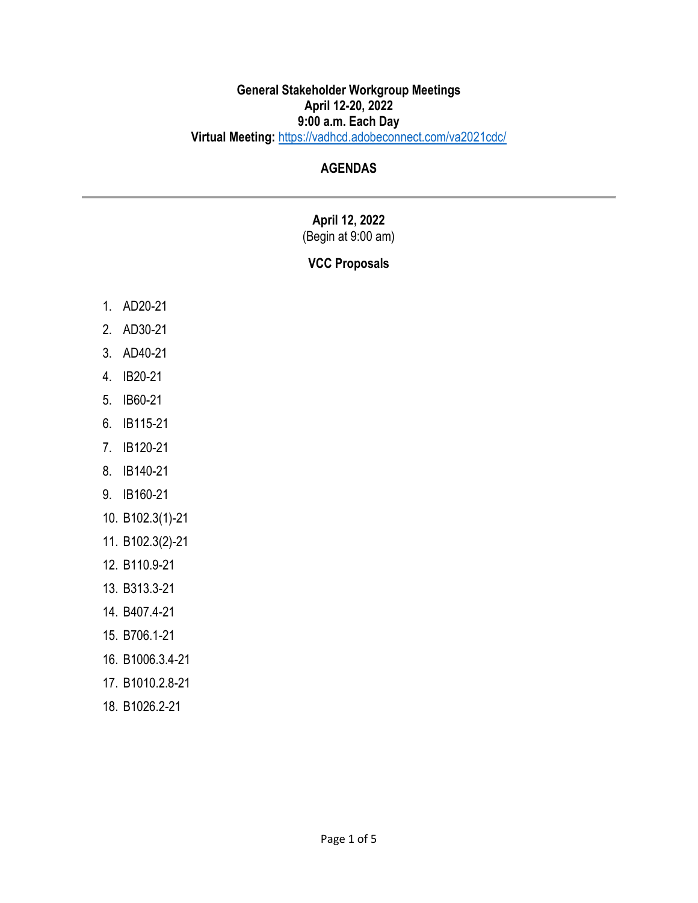### **General Stakeholder Workgroup Meetings April 12-20, 2022 9:00 a.m. Each Day Virtual Meeting:** <https://vadhcd.adobeconnect.com/va2021cdc/>

## **AGENDAS**

# **April 12, 2022**

## (Begin at 9:00 am)

## **VCC Proposals**

- 1. AD20-21
- 2. AD30-21
- 3. AD40-21
- 4. IB20-21
- 5. IB60-21
- 6. IB115-21
- 7. IB120-21
- 8. IB140-21
- 9. IB160-21
- 10. B102.3(1)-21
- 11. B102.3(2)-21
- 12. B110.9-21
- 13. B313.3-21
- 14. B407.4-21
- 15. B706.1-21
- 16. B1006.3.4-21
- 17. B1010.2.8-21
- 18. B1026.2-21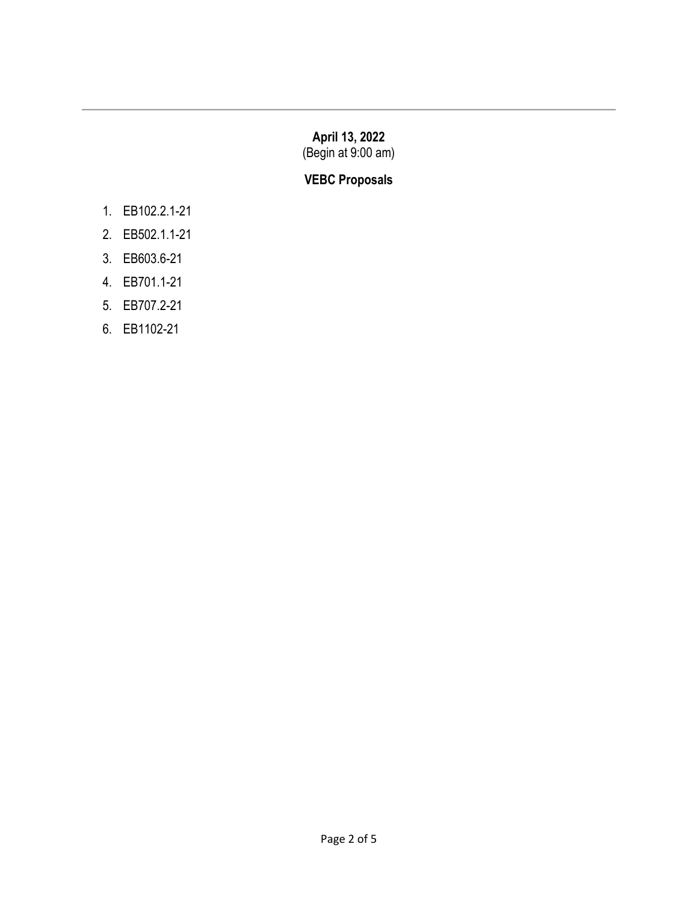### **April 13, 2022** (Begin at 9:00 am)

## **VEBC Proposals**

- 1. EB102.2.1-21
- 2. EB502.1.1-21
- 3. EB603.6-21
- 4. EB701.1-21
- 5. EB707.2-21
- 6. EB1102-21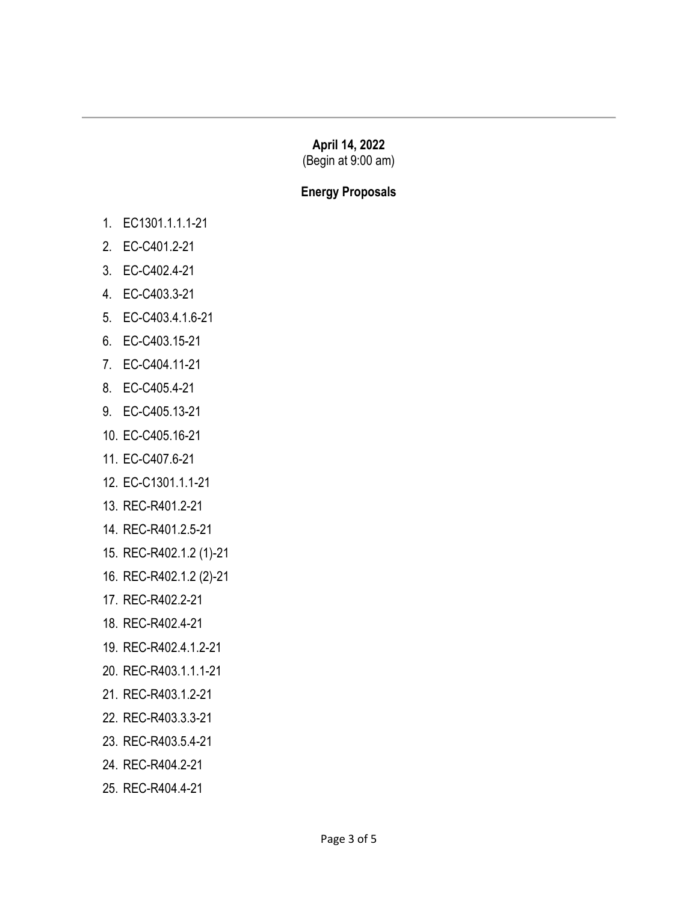## **April 14, 2022**

(Begin at 9:00 am)

### **Energy Proposals**

- 1. EC1301.1.1.1-21
- 2. EC-C401.2-21
- 3. EC-C402.4-21
- 4. EC-C403.3-21
- 5. EC-C403.4.1.6-21
- 6. EC-C403.15-21
- 7. EC-C404.11-21
- 8. EC-C405.4-21
- 9. EC-C405.13-21
- 10. EC-C405.16-21
- 11. EC-C407.6-21
- 12. EC-C1301.1.1-21
- 13. REC-R401.2-21
- 14. REC-R401.2.5-21
- 15. REC-R402.1.2 (1)-21
- 16. REC-R402.1.2 (2)-21
- 17. REC-R402.2-21
- 18. REC-R402.4-21
- 19. REC-R402.4.1.2-21
- 20. REC-R403.1.1.1-21
- 21. REC-R403.1.2-21
- 22. REC-R403.3.3-21
- 23. REC-R403.5.4-21
- 24. REC-R404.2-21
- 25. REC-R404.4-21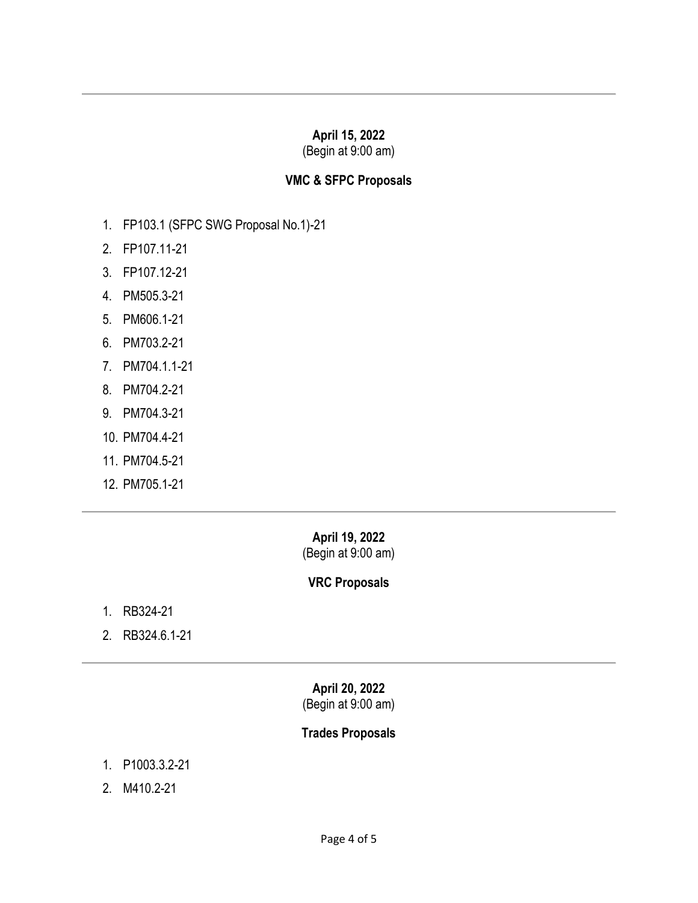## **April 15, 2022**

(Begin at 9:00 am)

#### **VMC & SFPC Proposals**

- 1. FP103.1 (SFPC SWG Proposal No.1)-21
- 2. FP107.11-21
- 3. FP107.12-21
- 4. PM505.3-21
- 5. PM606.1-21
- 6. PM703.2-21
- 7. PM704.1.1-21
- 8. PM704.2-21
- 9. PM704.3-21
- 10. PM704.4-21
- 11. PM704.5-21
- 12. PM705.1-21

### **April 19, 2022**  (Begin at 9:00 am)

### **VRC Proposals**

- 1. RB324-21
- 2. RB324.6.1-21

## **April 20, 2022**

(Begin at 9:00 am)

### **Trades Proposals**

- 1. P1003.3.2-21
- 2. M410.2-21